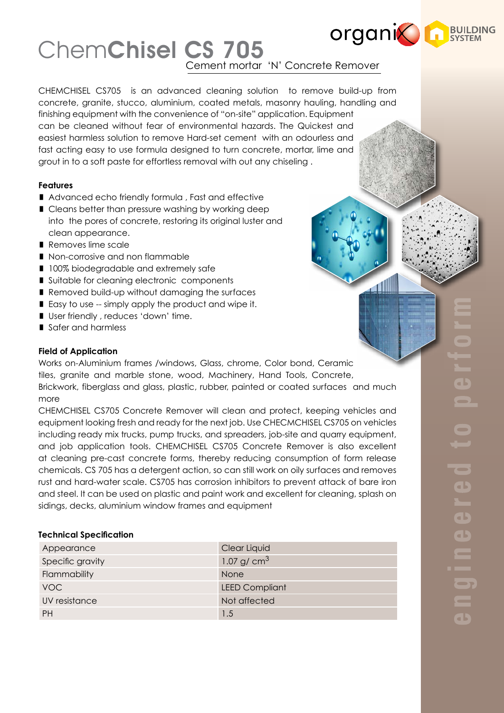# **organic Lines** ChemChisel CS 705 ement mortar 'N' Concrete Remover

CHEMCHISEL CS705 is an advanced cleaning solution to remove build-up from concrete, granite, stucco, aluminium, coated metals, masonry hauling, handling and finishing equipment with the convenience of "on-site" application. Equipment can be cleaned without fear of environmental hazards. The Quickest and easiest harmless solution to remove Hard-set cement with an odourless and fast acting easy to use formula designed to turn concrete, mortar, lime and grout in to a soft paste for effortless removal with out any chiseling .

# **Features**

- Advanced echo friendly formula, Fast and effective
- Cleans better than pressure washing by working deep into the pores of concrete, restoring its original luster and clean appearance.
- Removes lime scale
- Non-corrosive and non flammable
- **100% biodegradable and extremely safe**
- Suitable for cleaning electronic components
- Removed build-up without damaging the surfaces
- $\blacksquare$  Easy to use -- simply apply the product and wipe it.
- User friendly, reduces 'down' time.
- Safer and harmless

## **Field of Application**

Works on-Aluminium frames /windows, Glass, chrome, Color bond, Ceramic tiles, granite and marble stone, wood, Machinery, Hand Tools, Concrete, Brickwork, fiberglass and glass, plastic, rubber, painted or coated surfaces and much more

CHEMCHISEL CS705 Concrete Remover will clean and protect, keeping vehicles and equipment looking fresh and ready for the next job. Use CHECMCHISEL CS705 on vehicles including ready mix trucks, pump trucks, and spreaders, job-site and quarry equipment, and job application tools. CHEMCHISEL CS705 Concrete Remover is also excellent at cleaning pre-cast concrete forms, thereby reducing consumption of form release chemicals. CS 705 has a detergent action, so can still work on oily surfaces and removes rust and hard-water scale. CS705 has corrosion inhibitors to prevent attack of bare iron and steel. It can be used on plastic and paint work and excellent for cleaning, splash on sidings, decks, aluminium window frames and equipment

#### **Technical Specification**

| Appearance       | Clear Liquid          |  |
|------------------|-----------------------|--|
| Specific gravity | 1.07 g/ $cm3$         |  |
| Flammability     | <b>None</b>           |  |
| <b>VOC</b>       | <b>LEED Compliant</b> |  |
| UV resistance    | Not affected          |  |
| PН               | 1.5                   |  |